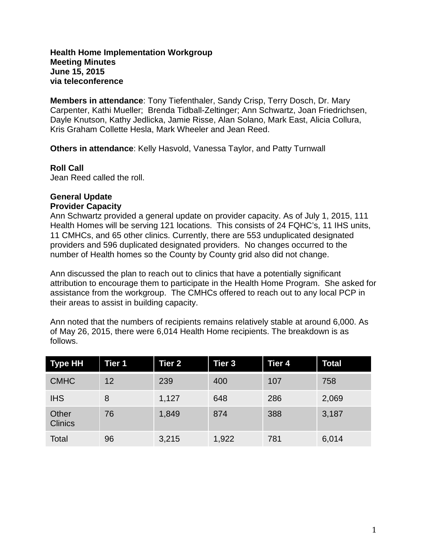### **Health Home Implementation Workgroup Meeting Minutes June 15, 2015 via teleconference**

**Members in attendance**: Tony Tiefenthaler, Sandy Crisp, Terry Dosch, Dr. Mary Carpenter, Kathi Mueller; Brenda Tidball-Zeltinger; Ann Schwartz, Joan Friedrichsen, Dayle Knutson, Kathy Jedlicka, Jamie Risse, Alan Solano, Mark East, Alicia Collura, Kris Graham Collette Hesla, Mark Wheeler and Jean Reed.

**Others in attendance**: Kelly Hasvold, Vanessa Taylor, and Patty Turnwall

### **Roll Call**

Jean Reed called the roll.

### **General Update Provider Capacity**

Ann Schwartz provided a general update on provider capacity. As of July 1, 2015, 111 Health Homes will be serving 121 locations. This consists of 24 FQHC's, 11 IHS units, 11 CMHCs, and 65 other clinics. Currently, there are 553 unduplicated designated providers and 596 duplicated designated providers. No changes occurred to the number of Health homes so the County by County grid also did not change.

Ann discussed the plan to reach out to clinics that have a potentially significant attribution to encourage them to participate in the Health Home Program. She asked for assistance from the workgroup. The CMHCs offered to reach out to any local PCP in their areas to assist in building capacity.

Ann noted that the numbers of recipients remains relatively stable at around 6,000. As of May 26, 2015, there were 6,014 Health Home recipients. The breakdown is as follows.

| <b>Type HH</b>          | <b>Tier 1</b> | <b>Tier 2</b> | Tier 3 | <b>Tier 4</b> | Total |
|-------------------------|---------------|---------------|--------|---------------|-------|
| <b>CMHC</b>             | 12            | 239           | 400    | 107           | 758   |
| <b>IHS</b>              | 8             | 1,127         | 648    | 286           | 2,069 |
| Other<br><b>Clinics</b> | 76            | 1,849         | 874    | 388           | 3,187 |
| Total                   | 96            | 3,215         | 1,922  | 781           | 6,014 |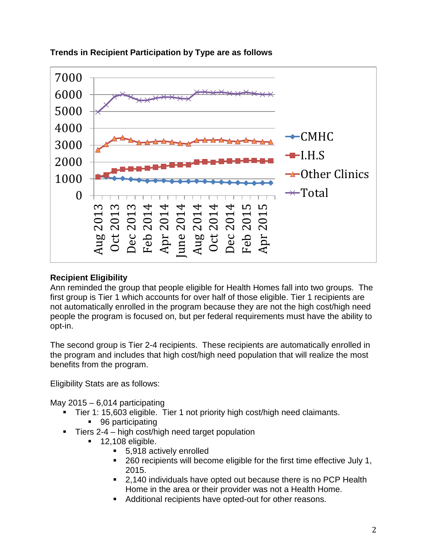

# **Trends in Recipient Participation by Type are as follows**

# **Recipient Eligibility**

Ann reminded the group that people eligible for Health Homes fall into two groups. The first group is Tier 1 which accounts for over half of those eligible. Tier 1 recipients are not automatically enrolled in the program because they are not the high cost/high need people the program is focused on, but per federal requirements must have the ability to opt-in.

The second group is Tier 2-4 recipients. These recipients are automatically enrolled in the program and includes that high cost/high need population that will realize the most benefits from the program.

Eligibility Stats are as follows:

May  $2015 - 6.014$  participating

- Tier 1: 15,603 eligible. Tier 1 not priority high cost/high need claimants.
	- 96 participating
- Tiers 2-4 high cost/high need target population
	- 12,108 eligible.
		- 5,918 actively enrolled
		- 260 recipients will become eligible for the first time effective July 1, 2015.
		- 2,140 individuals have opted out because there is no PCP Health Home in the area or their provider was not a Health Home.
		- Additional recipients have opted-out for other reasons.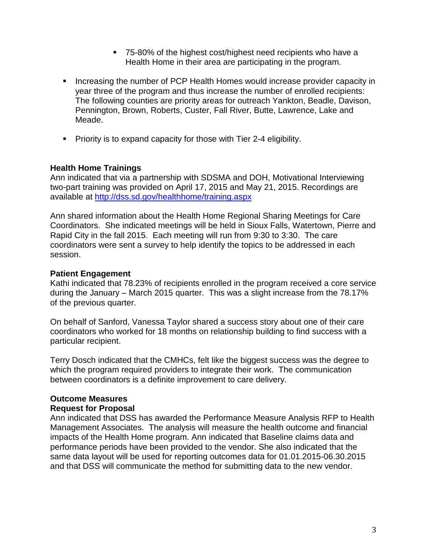- 75-80% of the highest cost/highest need recipients who have a Health Home in their area are participating in the program.
- Increasing the number of PCP Health Homes would increase provider capacity in year three of the program and thus increase the number of enrolled recipients: The following counties are priority areas for outreach Yankton, Beadle, Davison, Pennington, Brown, Roberts, Custer, Fall River, Butte, Lawrence, Lake and Meade.
- $\blacksquare$  Priority is to expand capacity for those with Tier 2-4 eligibility.

### **Health Home Trainings**

Ann indicated that via a partnership with SDSMA and DOH, Motivational Interviewing two-part training was provided on April 17, 2015 and May 21, 2015. Recordings are available at <http://dss.sd.gov/healthhome/training.aspx>

Ann shared information about the Health Home Regional Sharing Meetings for Care Coordinators. She indicated meetings will be held in Sioux Falls, Watertown, Pierre and Rapid City in the fall 2015. Each meeting will run from 9:30 to 3:30. The care coordinators were sent a survey to help identify the topics to be addressed in each session.

### **Patient Engagement**

Kathi indicated that 78.23% of recipients enrolled in the program received a core service during the January – March 2015 quarter. This was a slight increase from the 78.17% of the previous quarter.

On behalf of Sanford, Vanessa Taylor shared a success story about one of their care coordinators who worked for 18 months on relationship building to find success with a particular recipient.

Terry Dosch indicated that the CMHCs, felt like the biggest success was the degree to which the program required providers to integrate their work. The communication between coordinators is a definite improvement to care delivery.

#### **Outcome Measures**

#### **Request for Proposal**

Ann indicated that DSS has awarded the Performance Measure Analysis RFP to Health Management Associates. The analysis will measure the health outcome and financial impacts of the Health Home program. Ann indicated that Baseline claims data and performance periods have been provided to the vendor. She also indicated that the same data layout will be used for reporting outcomes data for 01.01.2015-06.30.2015 and that DSS will communicate the method for submitting data to the new vendor.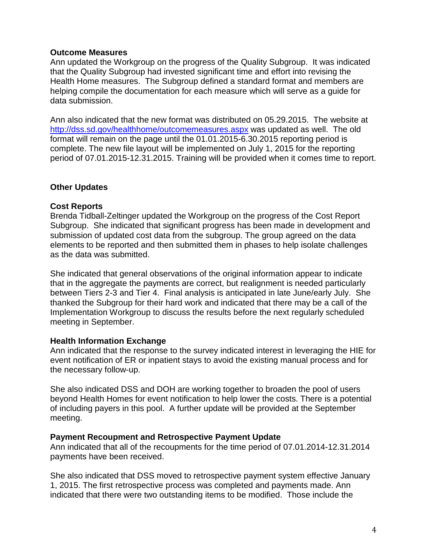# **Outcome Measures**

Ann updated the Workgroup on the progress of the Quality Subgroup. It was indicated that the Quality Subgroup had invested significant time and effort into revising the Health Home measures. The Subgroup defined a standard format and members are helping compile the documentation for each measure which will serve as a guide for data submission.

Ann also indicated that the new format was distributed on 05.29.2015. The website at <http://dss.sd.gov/healthhome/outcomemeasures.aspx> was updated as well. The old format will remain on the page until the 01.01.2015-6.30.2015 reporting period is complete. The new file layout will be implemented on July 1, 2015 for the reporting period of 07.01.2015-12.31.2015. Training will be provided when it comes time to report.

# **Other Updates**

# **Cost Reports**

Brenda Tidball-Zeltinger updated the Workgroup on the progress of the Cost Report Subgroup. She indicated that significant progress has been made in development and submission of updated cost data from the subgroup. The group agreed on the data elements to be reported and then submitted them in phases to help isolate challenges as the data was submitted.

She indicated that general observations of the original information appear to indicate that in the aggregate the payments are correct, but realignment is needed particularly between Tiers 2-3 and Tier 4. Final analysis is anticipated in late June/early July. She thanked the Subgroup for their hard work and indicated that there may be a call of the Implementation Workgroup to discuss the results before the next regularly scheduled meeting in September.

# **Health Information Exchange**

Ann indicated that the response to the survey indicated interest in leveraging the HIE for event notification of ER or inpatient stays to avoid the existing manual process and for the necessary follow-up.

She also indicated DSS and DOH are working together to broaden the pool of users beyond Health Homes for event notification to help lower the costs. There is a potential of including payers in this pool. A further update will be provided at the September meeting.

#### **Payment Recoupment and Retrospective Payment Update**

Ann indicated that all of the recoupments for the time period of 07.01.2014-12.31.2014 payments have been received.

She also indicated that DSS moved to retrospective payment system effective January 1, 2015. The first retrospective process was completed and payments made. Ann indicated that there were two outstanding items to be modified. Those include the